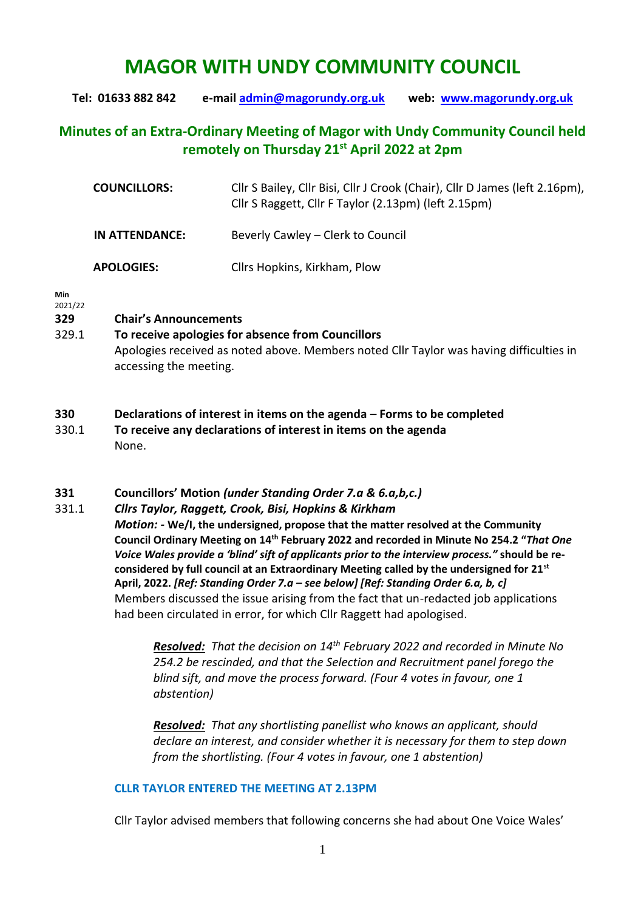# **MAGOR WITH UNDY COMMUNITY COUNCIL**

**Tel: 01633 882 842 e-mail [admin@magorundy.org.uk](mailto:admin@magorundy.org.uk) web: [www.magorundy.org.uk](http://www.magorundy.org.uk/)**

## **Minutes of an Extra-Ordinary Meeting of Magor with Undy Community Council held remotely on Thursday 21 st April 2022 at 2pm**

| <b>COUNCILLORS:</b> | Cllr S Bailey, Cllr Bisi, Cllr J Crook (Chair), Cllr D James (left 2.16pm),<br>Cllr S Raggett, Cllr F Taylor (2.13pm) (left 2.15pm) |
|---------------------|-------------------------------------------------------------------------------------------------------------------------------------|
| IN ATTENDANCE:      | Beverly Cawley – Clerk to Council                                                                                                   |
| <b>APOLOGIES:</b>   | Cllrs Hopkins, Kirkham, Plow                                                                                                        |

#### **Min**

#### 2021/22

#### **329 Chair's Announcements**

### 329.1 **To receive apologies for absence from Councillors** Apologies received as noted above. Members noted Cllr Taylor was having difficulties in accessing the meeting.

#### **330 Declarations of interest in items on the agenda – Forms to be completed**

330.1 **To receive any declarations of interest in items on the agenda** None.

#### **331 Councillors' Motion** *(under Standing Order 7.a & 6.a,b,c.)*

#### 331.1 *Cllrs Taylor, Raggett, Crook, Bisi, Hopkins & Kirkham*

*Motion: -* **We/I, the undersigned, propose that the matter resolved at the Community Council Ordinary Meeting on 14th February 2022 and recorded in Minute No 254.2 "***That One Voice Wales provide a 'blind' sift of applicants prior to the interview process."* **should be reconsidered by full council at an Extraordinary Meeting called by the undersigned for 21st April, 2022.** *[Ref: Standing Order 7.a – see below] [Ref: Standing Order 6.a, b, c]* Members discussed the issue arising from the fact that un-redacted job applications had been circulated in error, for which Cllr Raggett had apologised.

> *Resolved: That the decision on 14th February 2022 and recorded in Minute No 254.2 be rescinded, and that the Selection and Recruitment panel forego the blind sift, and move the process forward. (Four 4 votes in favour, one 1 abstention)*

> *Resolved: That any shortlisting panellist who knows an applicant, should declare an interest, and consider whether it is necessary for them to step down from the shortlisting. (Four 4 votes in favour, one 1 abstention)*

#### **CLLR TAYLOR ENTERED THE MEETING AT 2.13PM**

Cllr Taylor advised members that following concerns she had about One Voice Wales'